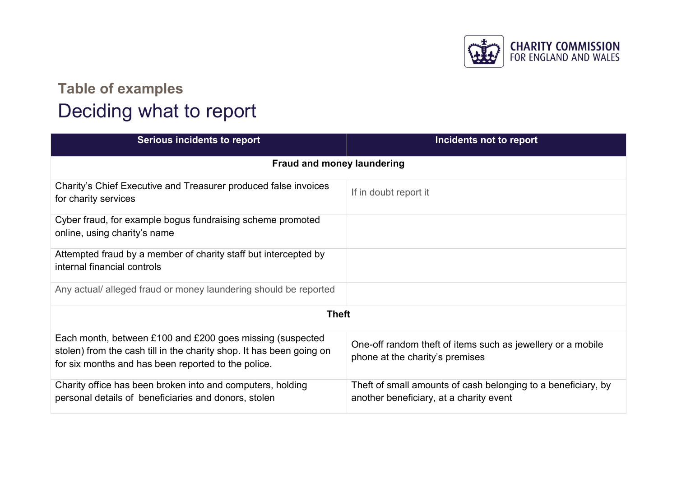

## **Table of examples** Deciding what to report

| <b>Serious incidents to report</b>                                                                                                                                                       | Incidents not to report                                                                                  |  |
|------------------------------------------------------------------------------------------------------------------------------------------------------------------------------------------|----------------------------------------------------------------------------------------------------------|--|
| <b>Fraud and money laundering</b>                                                                                                                                                        |                                                                                                          |  |
| Charity's Chief Executive and Treasurer produced false invoices<br>for charity services                                                                                                  | If in doubt report it                                                                                    |  |
| Cyber fraud, for example bogus fundraising scheme promoted<br>online, using charity's name                                                                                               |                                                                                                          |  |
| Attempted fraud by a member of charity staff but intercepted by<br>internal financial controls                                                                                           |                                                                                                          |  |
| Any actual/ alleged fraud or money laundering should be reported                                                                                                                         |                                                                                                          |  |
| <b>Theft</b>                                                                                                                                                                             |                                                                                                          |  |
| Each month, between £100 and £200 goes missing (suspected<br>stolen) from the cash till in the charity shop. It has been going on<br>for six months and has been reported to the police. | One-off random theft of items such as jewellery or a mobile<br>phone at the charity's premises           |  |
| Charity office has been broken into and computers, holding<br>personal details of beneficiaries and donors, stolen                                                                       | Theft of small amounts of cash belonging to a beneficiary, by<br>another beneficiary, at a charity event |  |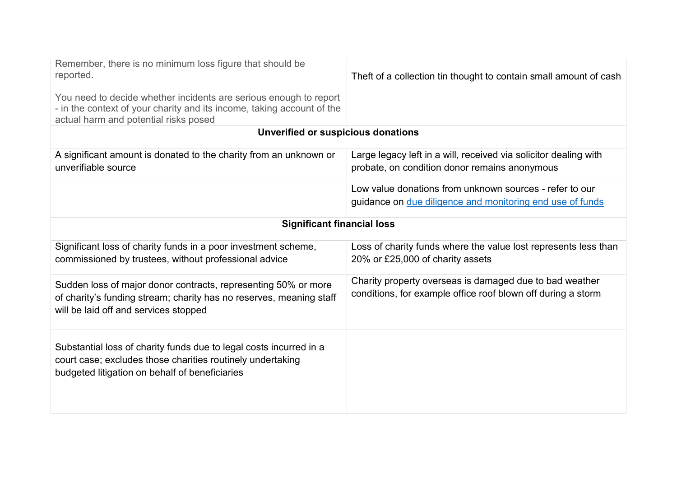| Remember, there is no minimum loss figure that should be<br>reported.<br>You need to decide whether incidents are serious enough to report<br>- in the context of your charity and its income, taking account of the<br>actual harm and potential risks posed | Theft of a collection tin thought to contain small amount of cash                                                       |  |  |
|---------------------------------------------------------------------------------------------------------------------------------------------------------------------------------------------------------------------------------------------------------------|-------------------------------------------------------------------------------------------------------------------------|--|--|
| Unverified or suspicious donations                                                                                                                                                                                                                            |                                                                                                                         |  |  |
| A significant amount is donated to the charity from an unknown or<br>unverifiable source                                                                                                                                                                      | Large legacy left in a will, received via solicitor dealing with<br>probate, on condition donor remains anonymous       |  |  |
|                                                                                                                                                                                                                                                               | Low value donations from unknown sources - refer to our<br>guidance on due diligence and monitoring end use of funds    |  |  |
| <b>Significant financial loss</b>                                                                                                                                                                                                                             |                                                                                                                         |  |  |
| Significant loss of charity funds in a poor investment scheme,<br>commissioned by trustees, without professional advice                                                                                                                                       | Loss of charity funds where the value lost represents less than<br>20% or £25,000 of charity assets                     |  |  |
| Sudden loss of major donor contracts, representing 50% or more<br>of charity's funding stream; charity has no reserves, meaning staff<br>will be laid off and services stopped                                                                                | Charity property overseas is damaged due to bad weather<br>conditions, for example office roof blown off during a storm |  |  |
| Substantial loss of charity funds due to legal costs incurred in a<br>court case; excludes those charities routinely undertaking<br>budgeted litigation on behalf of beneficiaries                                                                            |                                                                                                                         |  |  |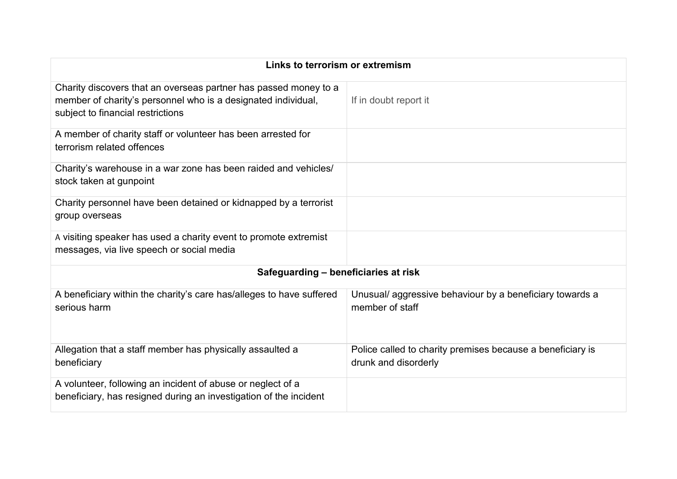| Links to terrorism or extremism                                                                                                                                        |                                                                                    |  |
|------------------------------------------------------------------------------------------------------------------------------------------------------------------------|------------------------------------------------------------------------------------|--|
| Charity discovers that an overseas partner has passed money to a<br>member of charity's personnel who is a designated individual,<br>subject to financial restrictions | If in doubt report it                                                              |  |
| A member of charity staff or volunteer has been arrested for<br>terrorism related offences                                                                             |                                                                                    |  |
| Charity's warehouse in a war zone has been raided and vehicles/<br>stock taken at gunpoint                                                                             |                                                                                    |  |
| Charity personnel have been detained or kidnapped by a terrorist<br>group overseas                                                                                     |                                                                                    |  |
| A visiting speaker has used a charity event to promote extremist<br>messages, via live speech or social media                                                          |                                                                                    |  |
| Safeguarding - beneficiaries at risk                                                                                                                                   |                                                                                    |  |
| A beneficiary within the charity's care has/alleges to have suffered<br>serious harm                                                                                   | Unusual/aggressive behaviour by a beneficiary towards a<br>member of staff         |  |
| Allegation that a staff member has physically assaulted a<br>beneficiary                                                                                               | Police called to charity premises because a beneficiary is<br>drunk and disorderly |  |
| A volunteer, following an incident of abuse or neglect of a<br>beneficiary, has resigned during an investigation of the incident                                       |                                                                                    |  |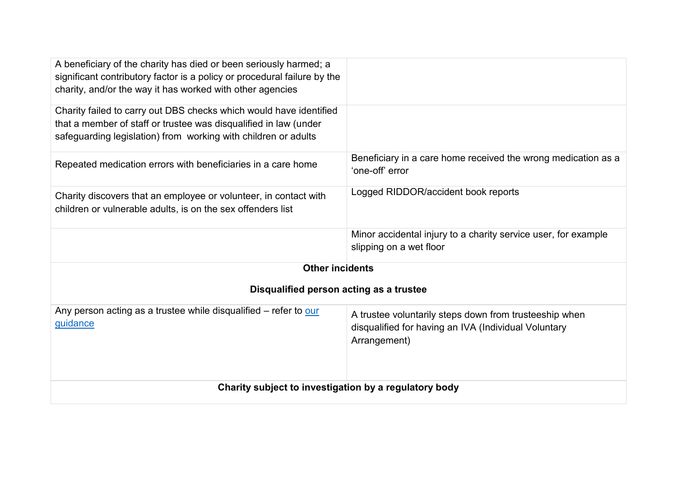| A beneficiary of the charity has died or been seriously harmed; a<br>significant contributory factor is a policy or procedural failure by the<br>charity, and/or the way it has worked with other agencies |                                                                                                                                |  |
|------------------------------------------------------------------------------------------------------------------------------------------------------------------------------------------------------------|--------------------------------------------------------------------------------------------------------------------------------|--|
| Charity failed to carry out DBS checks which would have identified<br>that a member of staff or trustee was disqualified in law (under<br>safeguarding legislation) from working with children or adults   |                                                                                                                                |  |
| Repeated medication errors with beneficiaries in a care home                                                                                                                                               | Beneficiary in a care home received the wrong medication as a<br>'one-off' error                                               |  |
| Charity discovers that an employee or volunteer, in contact with<br>children or vulnerable adults, is on the sex offenders list                                                                            | Logged RIDDOR/accident book reports                                                                                            |  |
|                                                                                                                                                                                                            | Minor accidental injury to a charity service user, for example<br>slipping on a wet floor                                      |  |
| <b>Other incidents</b>                                                                                                                                                                                     |                                                                                                                                |  |
| Disqualified person acting as a trustee                                                                                                                                                                    |                                                                                                                                |  |
| Any person acting as a trustee while disqualified – refer to our<br>guidance                                                                                                                               | A trustee voluntarily steps down from trusteeship when<br>disqualified for having an IVA (Individual Voluntary<br>Arrangement) |  |
| Charity subject to investigation by a regulatory body                                                                                                                                                      |                                                                                                                                |  |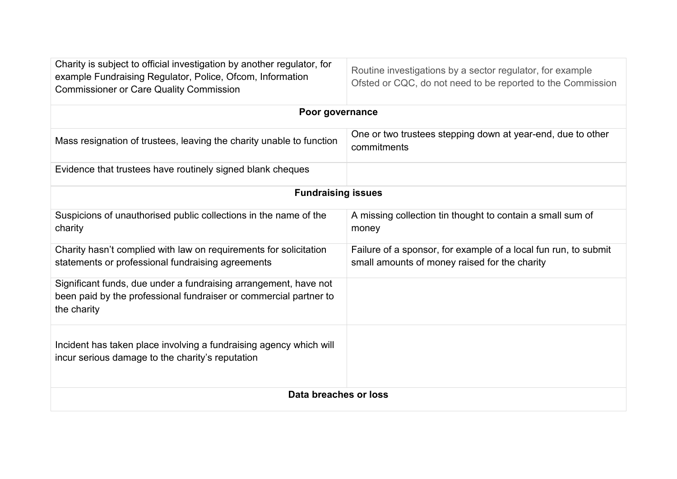| Charity is subject to official investigation by another regulator, for<br>example Fundraising Regulator, Police, Ofcom, Information<br><b>Commissioner or Care Quality Commission</b> | Routine investigations by a sector regulator, for example<br>Ofsted or CQC, do not need to be reported to the Commission |  |
|---------------------------------------------------------------------------------------------------------------------------------------------------------------------------------------|--------------------------------------------------------------------------------------------------------------------------|--|
| Poor governance                                                                                                                                                                       |                                                                                                                          |  |
| Mass resignation of trustees, leaving the charity unable to function                                                                                                                  | One or two trustees stepping down at year-end, due to other<br>commitments                                               |  |
| Evidence that trustees have routinely signed blank cheques                                                                                                                            |                                                                                                                          |  |
| <b>Fundraising issues</b>                                                                                                                                                             |                                                                                                                          |  |
| Suspicions of unauthorised public collections in the name of the<br>charity                                                                                                           | A missing collection tin thought to contain a small sum of<br>money                                                      |  |
| Charity hasn't complied with law on requirements for solicitation<br>statements or professional fundraising agreements                                                                | Failure of a sponsor, for example of a local fun run, to submit<br>small amounts of money raised for the charity         |  |
| Significant funds, due under a fundraising arrangement, have not<br>been paid by the professional fundraiser or commercial partner to<br>the charity                                  |                                                                                                                          |  |
| Incident has taken place involving a fundraising agency which will<br>incur serious damage to the charity's reputation                                                                |                                                                                                                          |  |
| Data breaches or loss                                                                                                                                                                 |                                                                                                                          |  |